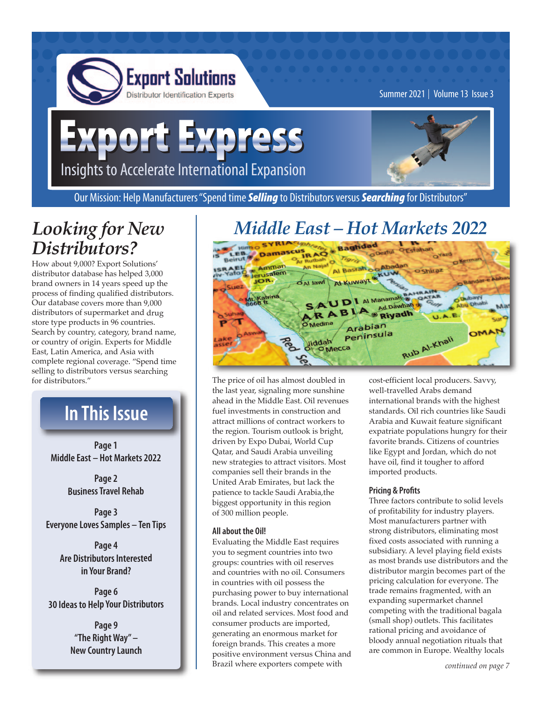

Summer 2021 | Volume 13 Issue 3

# xport Express Insights to Accelerate International Expansion



Our Mission: Help Manufacturers "Spend time *Selling* to Distributors versus *Searching* for Distributors"

### *Looking for New Distributors?*

How about 9,000? Export Solutions' distributor database has helped 3,000 brand owners in 14 years speed up the process of finding qualified distributors. Our database covers more than 9,000 distributors of supermarket and drug store type products in 96 countries. Search by country, category, brand name, or country of origin. Experts for Middle East, Latin America, and Asia with complete regional coverage. "Spend time selling to distributors versus searching for distributors."

# **In This Issue**

**Page 1 Middle East – Hot Markets 2022**

> **Page 2 Business Travel Rehab**

**Page 3 Everyone Loves Samples – Ten Tips**

> **Page 4 Are Distributors Interested in Your Brand?**

**Page 6 30 Ideas to Help Your Distributors**

> **Page 9 "The Right Way" – New Country Launch**

# *Middle East – Hot Markets 2022*



The price of oil has almost doubled in the last year, signaling more sunshine ahead in the Middle East. Oil revenues fuel investments in construction and attract millions of contract workers to the region. Tourism outlook is bright, driven by Expo Dubai, World Cup Qatar, and Saudi Arabia unveiling new strategies to attract visitors. Most companies sell their brands in the United Arab Emirates, but lack the patience to tackle Saudi Arabia,the biggest opportunity in this region of 300 million people.

#### **All about the Oil!**

Evaluating the Middle East requires you to segment countries into two groups: countries with oil reserves and countries with no oil. Consumers in countries with oil possess the purchasing power to buy international brands. Local industry concentrates on oil and related services. Most food and consumer products are imported, generating an enormous market for foreign brands. This creates a more positive environment versus China and Brazil where exporters compete with

cost-efficient local producers. Savvy, well-travelled Arabs demand international brands with the highest standards. Oil rich countries like Saudi Arabia and Kuwait feature significant expatriate populations hungry for their favorite brands. Citizens of countries like Egypt and Jordan, which do not have oil, find it tougher to afford imported products.

#### **Pricing & Profits**

Three factors contribute to solid levels of profitability for industry players. Most manufacturers partner with strong distributors, eliminating most fixed costs associated with running a subsidiary. A level playing field exists as most brands use distributors and the distributor margin becomes part of the pricing calculation for everyone. The trade remains fragmented, with an expanding supermarket channel competing with the traditional bagala (small shop) outlets. This facilitates rational pricing and avoidance of bloody annual negotiation rituals that are common in Europe. Wealthy locals